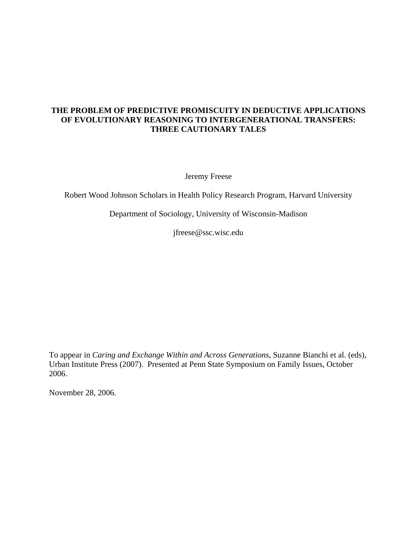# **THE PROBLEM OF PREDICTIVE PROMISCUITY IN DEDUCTIVE APPLICATIONS OF EVOLUTIONARY REASONING TO INTERGENERATIONAL TRANSFERS: THREE CAUTIONARY TALES**

Jeremy Freese

Robert Wood Johnson Scholars in Health Policy Research Program, Harvard University

Department of Sociology, University of Wisconsin-Madison

jfreese@ssc.wisc.edu

To appear in *Caring and Exchange Within and Across Generations*, Suzanne Bianchi et al. (eds), Urban Institute Press (2007). Presented at Penn State Symposium on Family Issues, October 2006.

November 28, 2006.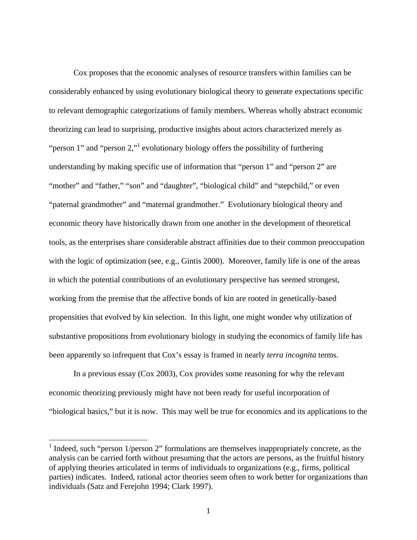Cox proposes that the economic analyses of resource transfers within families can be considerably enhanced by using evolutionary biological theory to generate expectations specific to relevant demographic categorizations of family members. Whereas wholly abstract economic theorizing can lead to surprising, productive insights about actors characterized merely as "person 1" and "person 2," evolutionary biology offers the possibility of furthering understanding by making specific use of information that "person 1" and "person 2" are "mother" and "father," "son" and "daughter", "biological child" and "stepchild," or even "paternal grandmother" and "maternal grandmother." Evolutionary biological theory and economic theory have historically drawn from one another in the development of theoretical tools, as the enterprises share considerable abstract affinities due to their common preoccupation with the logic of optimization (see, e.g., Gintis 2000). Moreover, family life is one of the areas in which the potential contributions of an evolutionary perspective has seemed strongest, working from the premise that the affective bonds of kin are rooted in genetically-based propensities that evolved by kin selection. In this light, one might wonder why utilization of substantive propositions from evolutionary biology in studying the economics of family life has been apparently so infrequent that Cox's essay is framed in nearly *terra incognita* terms.

In a previous essay (Cox 2003), Cox provides some reasoning for why the relevant economic theorizing previously might have not been ready for useful incorporation of "biological basics," but it is now. This may well be true for economics and its applications to the

 $<sup>1</sup>$  Indeed, such "person 1/person 2" formulations are themselves inappropriately concrete, as the</sup> analysis can be carried forth without presuming that the actors are persons, as the fruitful history of applying theories articulated in terms of individuals to organizations (e.g., firms, political parties) indicates. Indeed, rational actor theories seem often to work better for organizations than individuals (Satz and Ferejohn 1994; Clark 1997).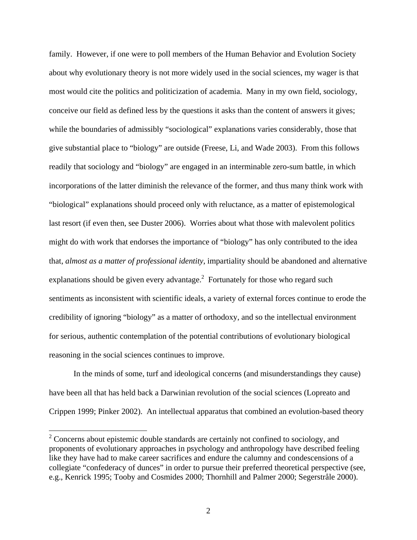family. However, if one were to poll members of the Human Behavior and Evolution Society about why evolutionary theory is not more widely used in the social sciences, my wager is that most would cite the politics and politicization of academia. Many in my own field, sociology, conceive our field as defined less by the questions it asks than the content of answers it gives; while the boundaries of admissibly "sociological" explanations varies considerably, those that give substantial place to "biology" are outside (Freese, Li, and Wade 2003). From this follows readily that sociology and "biology" are engaged in an interminable zero-sum battle, in which incorporations of the latter diminish the relevance of the former, and thus many think work with "biological" explanations should proceed only with reluctance, as a matter of epistemological last resort (if even then, see Duster 2006). Worries about what those with malevolent politics might do with work that endorses the importance of "biology" has only contributed to the idea that, *almost as a matter of professional identity*, impartiality should be abandoned and alternative explanations should be given every advantage.<sup>2</sup> Fortunately for those who regard such sentiments as inconsistent with scientific ideals, a variety of external forces continue to erode the credibility of ignoring "biology" as a matter of orthodoxy, and so the intellectual environment for serious, authentic contemplation of the potential contributions of evolutionary biological reasoning in the social sciences continues to improve.

In the minds of some, turf and ideological concerns (and misunderstandings they cause) have been all that has held back a Darwinian revolution of the social sciences (Lopreato and Crippen 1999; Pinker 2002). An intellectual apparatus that combined an evolution-based theory

<u>.</u>

 $2^2$  Concerns about epistemic double standards are certainly not confined to sociology, and proponents of evolutionary approaches in psychology and anthropology have described feeling like they have had to make career sacrifices and endure the calumny and condescensions of a collegiate "confederacy of dunces" in order to pursue their preferred theoretical perspective (see, e.g., Kenrick 1995; Tooby and Cosmides 2000; Thornhill and Palmer 2000; Segerstråle 2000).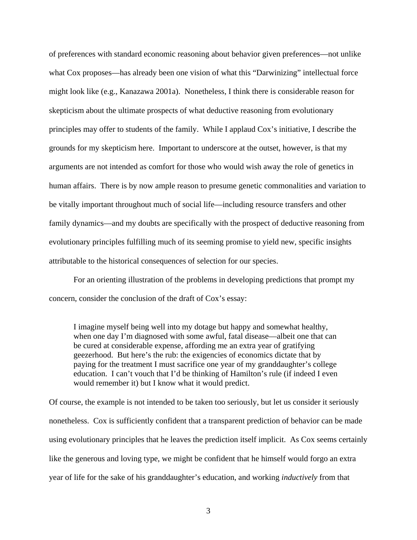of preferences with standard economic reasoning about behavior given preferences—not unlike what Cox proposes—has already been one vision of what this "Darwinizing" intellectual force might look like (e.g., Kanazawa 2001a). Nonetheless, I think there is considerable reason for skepticism about the ultimate prospects of what deductive reasoning from evolutionary principles may offer to students of the family. While I applaud Cox's initiative, I describe the grounds for my skepticism here. Important to underscore at the outset, however, is that my arguments are not intended as comfort for those who would wish away the role of genetics in human affairs. There is by now ample reason to presume genetic commonalities and variation to be vitally important throughout much of social life—including resource transfers and other family dynamics—and my doubts are specifically with the prospect of deductive reasoning from evolutionary principles fulfilling much of its seeming promise to yield new, specific insights attributable to the historical consequences of selection for our species.

For an orienting illustration of the problems in developing predictions that prompt my concern, consider the conclusion of the draft of Cox's essay:

I imagine myself being well into my dotage but happy and somewhat healthy, when one day I'm diagnosed with some awful, fatal disease—albeit one that can be cured at considerable expense, affording me an extra year of gratifying geezerhood. But here's the rub: the exigencies of economics dictate that by paying for the treatment I must sacrifice one year of my granddaughter's college education. I can't vouch that I'd be thinking of Hamilton's rule (if indeed I even would remember it) but I know what it would predict.

Of course, the example is not intended to be taken too seriously, but let us consider it seriously nonetheless. Cox is sufficiently confident that a transparent prediction of behavior can be made using evolutionary principles that he leaves the prediction itself implicit. As Cox seems certainly like the generous and loving type, we might be confident that he himself would forgo an extra year of life for the sake of his granddaughter's education, and working *inductively* from that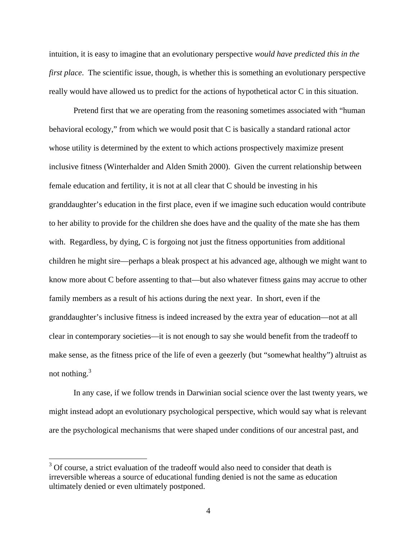intuition, it is easy to imagine that an evolutionary perspective *would have predicted this in the first place*. The scientific issue, though, is whether this is something an evolutionary perspective really would have allowed us to predict for the actions of hypothetical actor C in this situation.

Pretend first that we are operating from the reasoning sometimes associated with "human behavioral ecology," from which we would posit that C is basically a standard rational actor whose utility is determined by the extent to which actions prospectively maximize present inclusive fitness (Winterhalder and Alden Smith 2000). Given the current relationship between female education and fertility, it is not at all clear that C should be investing in his granddaughter's education in the first place, even if we imagine such education would contribute to her ability to provide for the children she does have and the quality of the mate she has them with. Regardless, by dying, C is forgoing not just the fitness opportunities from additional children he might sire—perhaps a bleak prospect at his advanced age, although we might want to know more about C before assenting to that—but also whatever fitness gains may accrue to other family members as a result of his actions during the next year. In short, even if the granddaughter's inclusive fitness is indeed increased by the extra year of education—not at all clear in contemporary societies—it is not enough to say she would benefit from the tradeoff to make sense, as the fitness price of the life of even a geezerly (but "somewhat healthy") altruist as not nothing. $3$ 

In any case, if we follow trends in Darwinian social science over the last twenty years, we might instead adopt an evolutionary psychological perspective, which would say what is relevant are the psychological mechanisms that were shaped under conditions of our ancestral past, and

<sup>&</sup>lt;sup>3</sup> Of course, a strict evaluation of the tradeoff would also need to consider that death is irreversible whereas a source of educational funding denied is not the same as education ultimately denied or even ultimately postponed.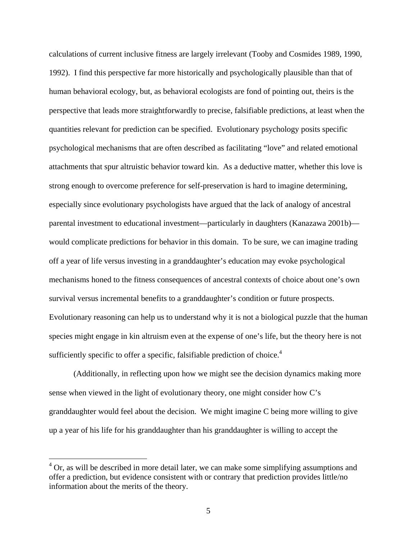calculations of current inclusive fitness are largely irrelevant (Tooby and Cosmides 1989, 1990, 1992). I find this perspective far more historically and psychologically plausible than that of human behavioral ecology, but, as behavioral ecologists are fond of pointing out, theirs is the perspective that leads more straightforwardly to precise, falsifiable predictions, at least when the quantities relevant for prediction can be specified. Evolutionary psychology posits specific psychological mechanisms that are often described as facilitating "love" and related emotional attachments that spur altruistic behavior toward kin. As a deductive matter, whether this love is strong enough to overcome preference for self-preservation is hard to imagine determining, especially since evolutionary psychologists have argued that the lack of analogy of ancestral parental investment to educational investment—particularly in daughters (Kanazawa 2001b) would complicate predictions for behavior in this domain. To be sure, we can imagine trading off a year of life versus investing in a granddaughter's education may evoke psychological mechanisms honed to the fitness consequences of ancestral contexts of choice about one's own survival versus incremental benefits to a granddaughter's condition or future prospects. Evolutionary reasoning can help us to understand why it is not a biological puzzle that the human species might engage in kin altruism even at the expense of one's life, but the theory here is not sufficiently specific to offer a specific, falsifiable prediction of choice. $4$ 

(Additionally, in reflecting upon how we might see the decision dynamics making more sense when viewed in the light of evolutionary theory, one might consider how C's granddaughter would feel about the decision. We might imagine C being more willing to give up a year of his life for his granddaughter than his granddaughter is willing to accept the

 $\overline{a}$ 

 $4$  Or, as will be described in more detail later, we can make some simplifying assumptions and offer a prediction, but evidence consistent with or contrary that prediction provides little/no information about the merits of the theory.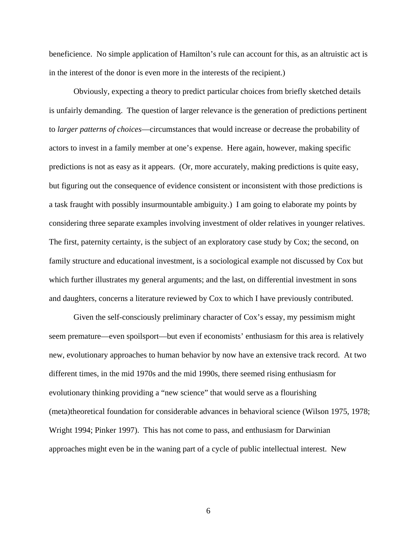beneficience. No simple application of Hamilton's rule can account for this, as an altruistic act is in the interest of the donor is even more in the interests of the recipient.)

Obviously, expecting a theory to predict particular choices from briefly sketched details is unfairly demanding. The question of larger relevance is the generation of predictions pertinent to *larger patterns of choices*—circumstances that would increase or decrease the probability of actors to invest in a family member at one's expense. Here again, however, making specific predictions is not as easy as it appears. (Or, more accurately, making predictions is quite easy, but figuring out the consequence of evidence consistent or inconsistent with those predictions is a task fraught with possibly insurmountable ambiguity.) I am going to elaborate my points by considering three separate examples involving investment of older relatives in younger relatives. The first, paternity certainty, is the subject of an exploratory case study by Cox; the second, on family structure and educational investment, is a sociological example not discussed by Cox but which further illustrates my general arguments; and the last, on differential investment in sons and daughters, concerns a literature reviewed by Cox to which I have previously contributed.

Given the self-consciously preliminary character of Cox's essay, my pessimism might seem premature—even spoilsport—but even if economists' enthusiasm for this area is relatively new, evolutionary approaches to human behavior by now have an extensive track record. At two different times, in the mid 1970s and the mid 1990s, there seemed rising enthusiasm for evolutionary thinking providing a "new science" that would serve as a flourishing (meta)theoretical foundation for considerable advances in behavioral science (Wilson 1975, 1978; Wright 1994; Pinker 1997). This has not come to pass, and enthusiasm for Darwinian approaches might even be in the waning part of a cycle of public intellectual interest. New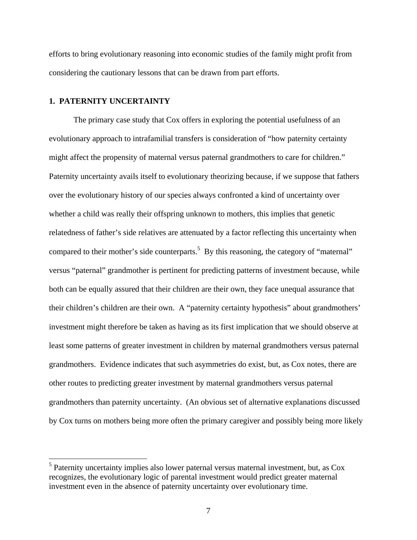efforts to bring evolutionary reasoning into economic studies of the family might profit from considering the cautionary lessons that can be drawn from part efforts.

# **1. PATERNITY UNCERTAINTY**

 $\overline{a}$ 

The primary case study that Cox offers in exploring the potential usefulness of an evolutionary approach to intrafamilial transfers is consideration of "how paternity certainty might affect the propensity of maternal versus paternal grandmothers to care for children." Paternity uncertainty avails itself to evolutionary theorizing because, if we suppose that fathers over the evolutionary history of our species always confronted a kind of uncertainty over whether a child was really their offspring unknown to mothers, this implies that genetic relatedness of father's side relatives are attenuated by a factor reflecting this uncertainty when compared to their mother's side counterparts.<sup>5</sup> By this reasoning, the category of "maternal" versus "paternal" grandmother is pertinent for predicting patterns of investment because, while both can be equally assured that their children are their own, they face unequal assurance that their children's children are their own. A "paternity certainty hypothesis" about grandmothers' investment might therefore be taken as having as its first implication that we should observe at least some patterns of greater investment in children by maternal grandmothers versus paternal grandmothers. Evidence indicates that such asymmetries do exist, but, as Cox notes, there are other routes to predicting greater investment by maternal grandmothers versus paternal grandmothers than paternity uncertainty. (An obvious set of alternative explanations discussed by Cox turns on mothers being more often the primary caregiver and possibly being more likely

<sup>&</sup>lt;sup>5</sup> Paternity uncertainty implies also lower paternal versus maternal investment, but, as Cox recognizes, the evolutionary logic of parental investment would predict greater maternal investment even in the absence of paternity uncertainty over evolutionary time.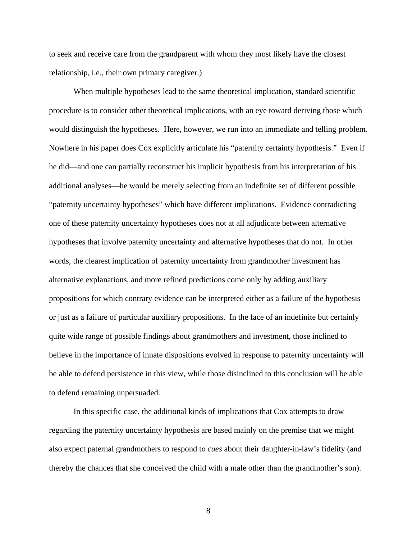to seek and receive care from the grandparent with whom they most likely have the closest relationship, i.e., their own primary caregiver.)

When multiple hypotheses lead to the same theoretical implication, standard scientific procedure is to consider other theoretical implications, with an eye toward deriving those which would distinguish the hypotheses. Here, however, we run into an immediate and telling problem. Nowhere in his paper does Cox explicitly articulate his "paternity certainty hypothesis." Even if he did—and one can partially reconstruct his implicit hypothesis from his interpretation of his additional analyses—he would be merely selecting from an indefinite set of different possible "paternity uncertainty hypotheses" which have different implications. Evidence contradicting one of these paternity uncertainty hypotheses does not at all adjudicate between alternative hypotheses that involve paternity uncertainty and alternative hypotheses that do not. In other words, the clearest implication of paternity uncertainty from grandmother investment has alternative explanations, and more refined predictions come only by adding auxiliary propositions for which contrary evidence can be interpreted either as a failure of the hypothesis or just as a failure of particular auxiliary propositions. In the face of an indefinite but certainly quite wide range of possible findings about grandmothers and investment, those inclined to believe in the importance of innate dispositions evolved in response to paternity uncertainty will be able to defend persistence in this view, while those disinclined to this conclusion will be able to defend remaining unpersuaded.

In this specific case, the additional kinds of implications that Cox attempts to draw regarding the paternity uncertainty hypothesis are based mainly on the premise that we might also expect paternal grandmothers to respond to *cues* about their daughter-in-law's fidelity (and thereby the chances that she conceived the child with a male other than the grandmother's son).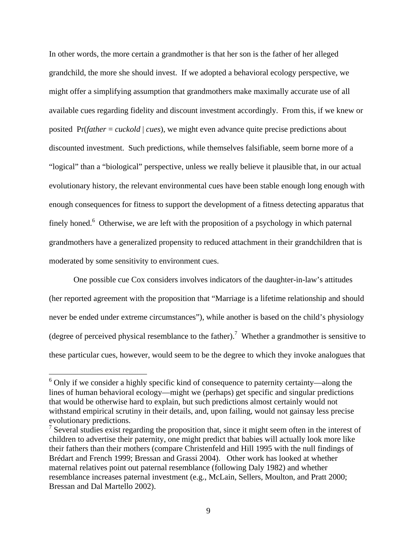In other words, the more certain a grandmother is that her son is the father of her alleged grandchild, the more she should invest. If we adopted a behavioral ecology perspective, we might offer a simplifying assumption that grandmothers make maximally accurate use of all available cues regarding fidelity and discount investment accordingly. From this, if we knew or posited Pr(*father* = *cuckold* | *cues*), we might even advance quite precise predictions about discounted investment. Such predictions, while themselves falsifiable, seem borne more of a "logical" than a "biological" perspective, unless we really believe it plausible that, in our actual evolutionary history, the relevant environmental cues have been stable enough long enough with enough consequences for fitness to support the development of a fitness detecting apparatus that finely honed.<sup>6</sup> Otherwise, we are left with the proposition of a psychology in which paternal grandmothers have a generalized propensity to reduced attachment in their grandchildren that is moderated by some sensitivity to environment cues.

One possible cue Cox considers involves indicators of the daughter-in-law's attitudes (her reported agreement with the proposition that "Marriage is a lifetime relationship and should never be ended under extreme circumstances"), while another is based on the child's physiology (degree of perceived physical resemblance to the father).<sup>7</sup> Whether a grandmother is sensitive to these particular cues, however, would seem to be the degree to which they invoke analogues that

 $\overline{a}$ 

 $6$  Only if we consider a highly specific kind of consequence to paternity certainty—along the lines of human behavioral ecology—might we (perhaps) get specific and singular predictions that would be otherwise hard to explain, but such predictions almost certainly would not withstand empirical scrutiny in their details, and, upon failing, would not gainsay less precise evolutionary predictions.

 $<sup>7</sup>$  Several studies exist regarding the proposition that, since it might seem often in the interest of</sup> children to advertise their paternity, one might predict that babies will actually look more like their fathers than their mothers (compare Christenfeld and Hill 1995 with the null findings of Brédart and French 1999; Bressan and Grassi 2004). Other work has looked at whether maternal relatives point out paternal resemblance (following Daly 1982) and whether resemblance increases paternal investment (e.g., McLain, Sellers, Moulton, and Pratt 2000; Bressan and Dal Martello 2002).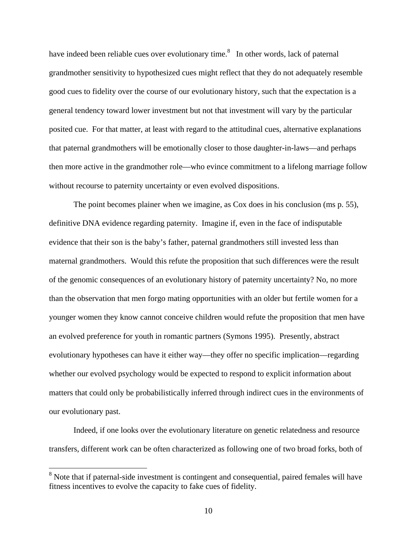have indeed been reliable cues over evolutionary time.<sup>8</sup> In other words, lack of paternal grandmother sensitivity to hypothesized cues might reflect that they do not adequately resemble good cues to fidelity over the course of our evolutionary history, such that the expectation is a general tendency toward lower investment but not that investment will vary by the particular posited cue. For that matter, at least with regard to the attitudinal cues, alternative explanations that paternal grandmothers will be emotionally closer to those daughter-in-laws—and perhaps then more active in the grandmother role—who evince commitment to a lifelong marriage follow without recourse to paternity uncertainty or even evolved dispositions.

The point becomes plainer when we imagine, as Cox does in his conclusion (ms p. 55), definitive DNA evidence regarding paternity. Imagine if, even in the face of indisputable evidence that their son is the baby's father, paternal grandmothers still invested less than maternal grandmothers. Would this refute the proposition that such differences were the result of the genomic consequences of an evolutionary history of paternity uncertainty? No, no more than the observation that men forgo mating opportunities with an older but fertile women for a younger women they know cannot conceive children would refute the proposition that men have an evolved preference for youth in romantic partners (Symons 1995). Presently, abstract evolutionary hypotheses can have it either way—they offer no specific implication—regarding whether our evolved psychology would be expected to respond to explicit information about matters that could only be probabilistically inferred through indirect cues in the environments of our evolutionary past.

Indeed, if one looks over the evolutionary literature on genetic relatedness and resource transfers, different work can be often characterized as following one of two broad forks, both of

 $\overline{a}$ 

<sup>&</sup>lt;sup>8</sup> Note that if paternal-side investment is contingent and consequential, paired females will have fitness incentives to evolve the capacity to fake cues of fidelity.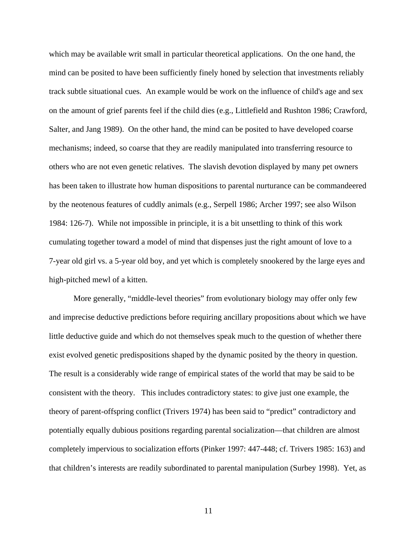which may be available writ small in particular theoretical applications. On the one hand, the mind can be posited to have been sufficiently finely honed by selection that investments reliably track subtle situational cues. An example would be work on the influence of child's age and sex on the amount of grief parents feel if the child dies (e.g., Littlefield and Rushton 1986; Crawford, Salter, and Jang 1989). On the other hand, the mind can be posited to have developed coarse mechanisms; indeed, so coarse that they are readily manipulated into transferring resource to others who are not even genetic relatives. The slavish devotion displayed by many pet owners has been taken to illustrate how human dispositions to parental nurturance can be commandeered by the neotenous features of cuddly animals (e.g., Serpell 1986; Archer 1997; see also Wilson 1984: 126-7). While not impossible in principle, it is a bit unsettling to think of this work cumulating together toward a model of mind that dispenses just the right amount of love to a 7-year old girl vs. a 5-year old boy, and yet which is completely snookered by the large eyes and high-pitched mewl of a kitten.

More generally, "middle-level theories" from evolutionary biology may offer only few and imprecise deductive predictions before requiring ancillary propositions about which we have little deductive guide and which do not themselves speak much to the question of whether there exist evolved genetic predispositions shaped by the dynamic posited by the theory in question. The result is a considerably wide range of empirical states of the world that may be said to be consistent with the theory. This includes contradictory states: to give just one example, the theory of parent-offspring conflict (Trivers 1974) has been said to "predict" contradictory and potentially equally dubious positions regarding parental socialization—that children are almost completely impervious to socialization efforts (Pinker 1997: 447-448; cf. Trivers 1985: 163) and that children's interests are readily subordinated to parental manipulation (Surbey 1998). Yet, as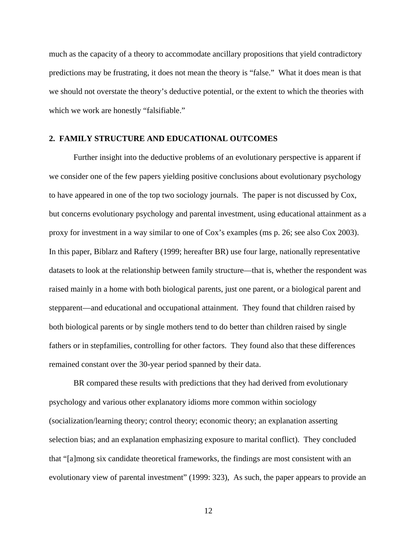much as the capacity of a theory to accommodate ancillary propositions that yield contradictory predictions may be frustrating, it does not mean the theory is "false." What it does mean is that we should not overstate the theory's deductive potential, or the extent to which the theories with which we work are honestly "falsifiable."

### **2. FAMILY STRUCTURE AND EDUCATIONAL OUTCOMES**

Further insight into the deductive problems of an evolutionary perspective is apparent if we consider one of the few papers yielding positive conclusions about evolutionary psychology to have appeared in one of the top two sociology journals. The paper is not discussed by Cox, but concerns evolutionary psychology and parental investment, using educational attainment as a proxy for investment in a way similar to one of Cox's examples (ms p. 26; see also Cox 2003). In this paper, Biblarz and Raftery (1999; hereafter BR) use four large, nationally representative datasets to look at the relationship between family structure—that is, whether the respondent was raised mainly in a home with both biological parents, just one parent, or a biological parent and stepparent—and educational and occupational attainment. They found that children raised by both biological parents or by single mothers tend to do better than children raised by single fathers or in stepfamilies, controlling for other factors. They found also that these differences remained constant over the 30-year period spanned by their data.

BR compared these results with predictions that they had derived from evolutionary psychology and various other explanatory idioms more common within sociology (socialization/learning theory; control theory; economic theory; an explanation asserting selection bias; and an explanation emphasizing exposure to marital conflict). They concluded that "[a]mong six candidate theoretical frameworks, the findings are most consistent with an evolutionary view of parental investment" (1999: 323), As such, the paper appears to provide an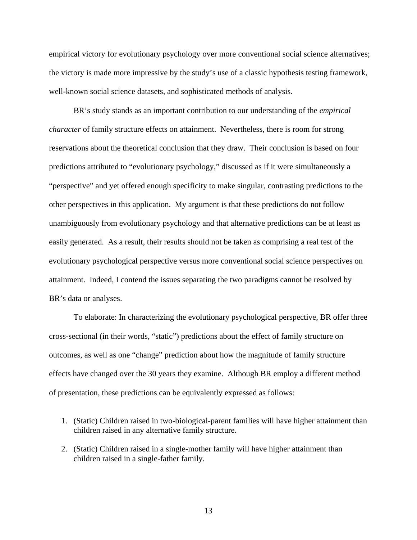empirical victory for evolutionary psychology over more conventional social science alternatives; the victory is made more impressive by the study's use of a classic hypothesis testing framework, well-known social science datasets, and sophisticated methods of analysis.

BR's study stands as an important contribution to our understanding of the *empirical character* of family structure effects on attainment. Nevertheless, there is room for strong reservations about the theoretical conclusion that they draw. Their conclusion is based on four predictions attributed to "evolutionary psychology," discussed as if it were simultaneously a "perspective" and yet offered enough specificity to make singular, contrasting predictions to the other perspectives in this application. My argument is that these predictions do not follow unambiguously from evolutionary psychology and that alternative predictions can be at least as easily generated. As a result, their results should not be taken as comprising a real test of the evolutionary psychological perspective versus more conventional social science perspectives on attainment. Indeed, I contend the issues separating the two paradigms cannot be resolved by BR's data or analyses.

To elaborate: In characterizing the evolutionary psychological perspective, BR offer three cross-sectional (in their words, "static") predictions about the effect of family structure on outcomes, as well as one "change" prediction about how the magnitude of family structure effects have changed over the 30 years they examine. Although BR employ a different method of presentation, these predictions can be equivalently expressed as follows:

- 1. (Static) Children raised in two-biological-parent families will have higher attainment than children raised in any alternative family structure.
- 2. (Static) Children raised in a single-mother family will have higher attainment than children raised in a single-father family.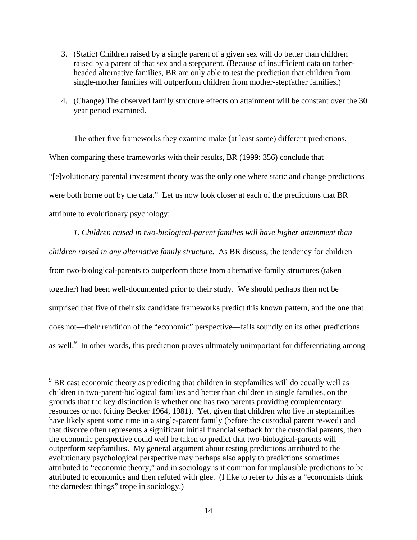- 3. (Static) Children raised by a single parent of a given sex will do better than children raised by a parent of that sex and a stepparent. (Because of insufficient data on fatherheaded alternative families, BR are only able to test the prediction that children from single-mother families will outperform children from mother-stepfather families.)
- 4. (Change) The observed family structure effects on attainment will be constant over the 30 year period examined.

The other five frameworks they examine make (at least some) different predictions. When comparing these frameworks with their results, BR (1999: 356) conclude that "[e]volutionary parental investment theory was the only one where static and change predictions were both borne out by the data." Let us now look closer at each of the predictions that BR attribute to evolutionary psychology:

*1. Children raised in two-biological-parent families will have higher attainment than children raised in any alternative family structure.* As BR discuss, the tendency for children from two-biological-parents to outperform those from alternative family structures (taken together) had been well-documented prior to their study. We should perhaps then not be surprised that five of their six candidate frameworks predict this known pattern, and the one that does not—their rendition of the "economic" perspective—fails soundly on its other predictions as well.<sup>9</sup> In other words, this prediction proves ultimately unimportant for differentiating among

 $\overline{a}$ 

 $9^9$  BR cast economic theory as predicting that children in stepfamilies will do equally well as children in two-parent-biological families and better than children in single families, on the grounds that the key distinction is whether one has two parents providing complementary resources or not (citing Becker 1964, 1981). Yet, given that children who live in stepfamilies have likely spent some time in a single-parent family (before the custodial parent re-wed) and that divorce often represents a significant initial financial setback for the custodial parents, then the economic perspective could well be taken to predict that two-biological-parents will outperform stepfamilies. My general argument about testing predictions attributed to the evolutionary psychological perspective may perhaps also apply to predictions sometimes attributed to "economic theory," and in sociology is it common for implausible predictions to be attributed to economics and then refuted with glee. (I like to refer to this as a "economists think the darnedest things" trope in sociology.)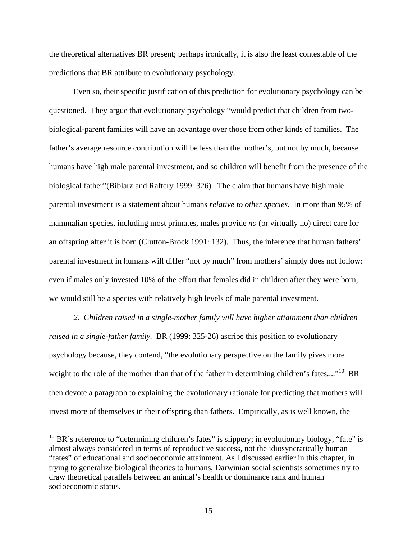the theoretical alternatives BR present; perhaps ironically, it is also the least contestable of the predictions that BR attribute to evolutionary psychology.

Even so, their specific justification of this prediction for evolutionary psychology can be questioned. They argue that evolutionary psychology "would predict that children from twobiological-parent families will have an advantage over those from other kinds of families. The father's average resource contribution will be less than the mother's, but not by much, because humans have high male parental investment, and so children will benefit from the presence of the biological father"(Biblarz and Raftery 1999: 326). The claim that humans have high male parental investment is a statement about humans *relative to other species*. In more than 95% of mammalian species, including most primates, males provide *no* (or virtually no) direct care for an offspring after it is born (Clutton-Brock 1991: 132). Thus, the inference that human fathers' parental investment in humans will differ "not by much" from mothers' simply does not follow: even if males only invested 10% of the effort that females did in children after they were born, we would still be a species with relatively high levels of male parental investment.

*2. Children raised in a single-mother family will have higher attainment than children raised in a single-father family.* BR (1999: 325-26) ascribe this position to evolutionary psychology because, they contend, "the evolutionary perspective on the family gives more weight to the role of the mother than that of the father in determining children's fates...."<sup>10</sup> BR then devote a paragraph to explaining the evolutionary rationale for predicting that mothers will invest more of themselves in their offspring than fathers. Empirically, as is well known, the

<u>.</u>

 $10$  BR's reference to "determining children's fates" is slippery; in evolutionary biology, "fate" is almost always considered in terms of reproductive success, not the idiosyncratically human "fates" of educational and socioeconomic attainment. As I discussed earlier in this chapter, in trying to generalize biological theories to humans, Darwinian social scientists sometimes try to draw theoretical parallels between an animal's health or dominance rank and human socioeconomic status.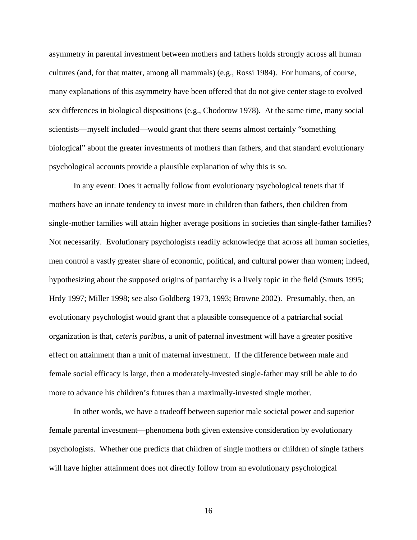asymmetry in parental investment between mothers and fathers holds strongly across all human cultures (and, for that matter, among all mammals) (e.g., Rossi 1984). For humans, of course, many explanations of this asymmetry have been offered that do not give center stage to evolved sex differences in biological dispositions (e.g., Chodorow 1978). At the same time, many social scientists—myself included—would grant that there seems almost certainly "something biological" about the greater investments of mothers than fathers, and that standard evolutionary psychological accounts provide a plausible explanation of why this is so.

 In any event: Does it actually follow from evolutionary psychological tenets that if mothers have an innate tendency to invest more in children than fathers, then children from single-mother families will attain higher average positions in societies than single-father families? Not necessarily. Evolutionary psychologists readily acknowledge that across all human societies, men control a vastly greater share of economic, political, and cultural power than women; indeed, hypothesizing about the supposed origins of patriarchy is a lively topic in the field (Smuts 1995; Hrdy 1997; Miller 1998; see also Goldberg 1973, 1993; Browne 2002). Presumably, then, an evolutionary psychologist would grant that a plausible consequence of a patriarchal social organization is that, *ceteris paribus*, a unit of paternal investment will have a greater positive effect on attainment than a unit of maternal investment. If the difference between male and female social efficacy is large, then a moderately-invested single-father may still be able to do more to advance his children's futures than a maximally-invested single mother.

 In other words, we have a tradeoff between superior male societal power and superior female parental investment—phenomena both given extensive consideration by evolutionary psychologists. Whether one predicts that children of single mothers or children of single fathers will have higher attainment does not directly follow from an evolutionary psychological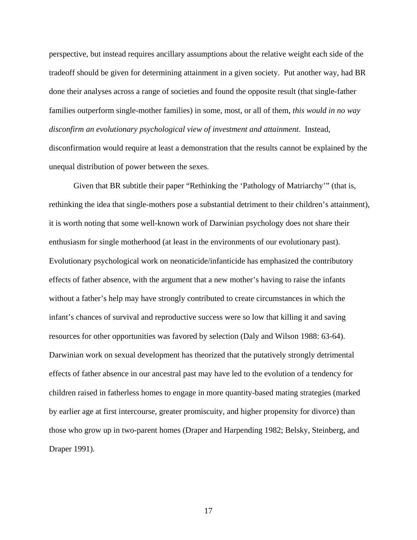perspective, but instead requires ancillary assumptions about the relative weight each side of the tradeoff should be given for determining attainment in a given society. Put another way, had BR done their analyses across a range of societies and found the opposite result (that single-father families outperform single-mother families) in some, most, or all of them, *this would in no way disconfirm an evolutionary psychological view of investment and attainment*. Instead, disconfirmation would require at least a demonstration that the results cannot be explained by the unequal distribution of power between the sexes.

Given that BR subtitle their paper "Rethinking the 'Pathology of Matriarchy'" (that is, rethinking the idea that single-mothers pose a substantial detriment to their children's attainment), it is worth noting that some well-known work of Darwinian psychology does not share their enthusiasm for single motherhood (at least in the environments of our evolutionary past). Evolutionary psychological work on neonaticide/infanticide has emphasized the contributory effects of father absence, with the argument that a new mother's having to raise the infants without a father's help may have strongly contributed to create circumstances in which the infant's chances of survival and reproductive success were so low that killing it and saving resources for other opportunities was favored by selection (Daly and Wilson 1988: 63-64). Darwinian work on sexual development has theorized that the putatively strongly detrimental effects of father absence in our ancestral past may have led to the evolution of a tendency for children raised in fatherless homes to engage in more quantity-based mating strategies (marked by earlier age at first intercourse, greater promiscuity, and higher propensity for divorce) than those who grow up in two-parent homes (Draper and Harpending 1982; Belsky, Steinberg, and Draper 1991).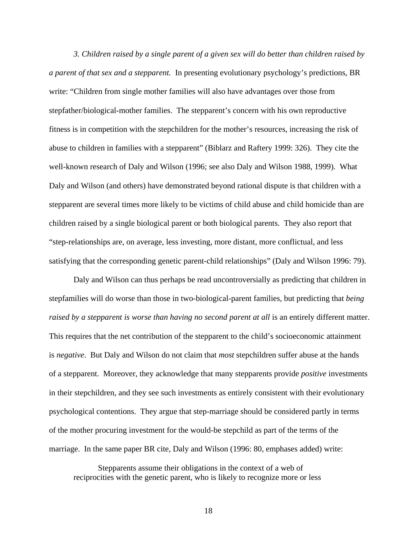*3. Children raised by a single parent of a given sex will do better than children raised by a parent of that sex and a stepparent.* In presenting evolutionary psychology's predictions, BR write: "Children from single mother families will also have advantages over those from stepfather/biological-mother families. The stepparent's concern with his own reproductive fitness is in competition with the stepchildren for the mother's resources, increasing the risk of abuse to children in families with a stepparent" (Biblarz and Raftery 1999: 326). They cite the well-known research of Daly and Wilson (1996; see also Daly and Wilson 1988, 1999). What Daly and Wilson (and others) have demonstrated beyond rational dispute is that children with a stepparent are several times more likely to be victims of child abuse and child homicide than are children raised by a single biological parent or both biological parents. They also report that "step-relationships are, on average, less investing, more distant, more conflictual, and less satisfying that the corresponding genetic parent-child relationships" (Daly and Wilson 1996: 79).

Daly and Wilson can thus perhaps be read uncontroversially as predicting that children in stepfamilies will do worse than those in two-biological-parent families, but predicting that *being*  raised by a stepparent is worse than having no second parent at all is an entirely different matter. This requires that the net contribution of the stepparent to the child's socioeconomic attainment is *negative*. But Daly and Wilson do not claim that *most* stepchildren suffer abuse at the hands of a stepparent. Moreover, they acknowledge that many stepparents provide *positive* investments in their stepchildren, and they see such investments as entirely consistent with their evolutionary psychological contentions. They argue that step-marriage should be considered partly in terms of the mother procuring investment for the would-be stepchild as part of the terms of the marriage. In the same paper BR cite, Daly and Wilson (1996: 80, emphases added) write:

Stepparents assume their obligations in the context of a web of reciprocities with the genetic parent, who is likely to recognize more or less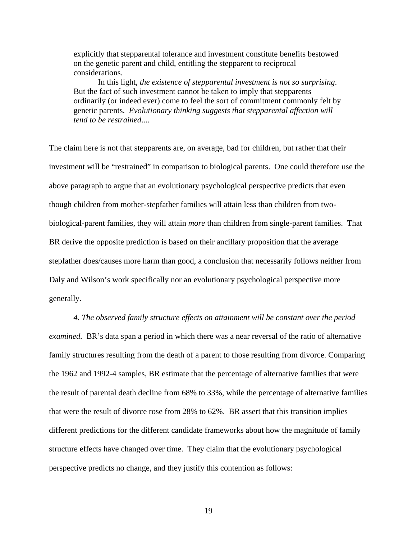explicitly that stepparental tolerance and investment constitute benefits bestowed on the genetic parent and child, entitling the stepparent to reciprocal considerations.

 In this light, *the existence of stepparental investment is not so surprising*. But the fact of such investment cannot be taken to imply that stepparents ordinarily (or indeed ever) come to feel the sort of commitment commonly felt by genetic parents. *Evolutionary thinking suggests that stepparental affection will tend to be restrained*....

The claim here is not that stepparents are, on average, bad for children, but rather that their investment will be "restrained" in comparison to biological parents. One could therefore use the above paragraph to argue that an evolutionary psychological perspective predicts that even though children from mother-stepfather families will attain less than children from twobiological-parent families, they will attain *more* than children from single-parent families. That BR derive the opposite prediction is based on their ancillary proposition that the average stepfather does/causes more harm than good, a conclusion that necessarily follows neither from Daly and Wilson's work specifically nor an evolutionary psychological perspective more generally.

*4. The observed family structure effects on attainment will be constant over the period examined.* BR's data span a period in which there was a near reversal of the ratio of alternative family structures resulting from the death of a parent to those resulting from divorce. Comparing the 1962 and 1992-4 samples, BR estimate that the percentage of alternative families that were the result of parental death decline from 68% to 33%, while the percentage of alternative families that were the result of divorce rose from 28% to 62%. BR assert that this transition implies different predictions for the different candidate frameworks about how the magnitude of family structure effects have changed over time. They claim that the evolutionary psychological perspective predicts no change, and they justify this contention as follows: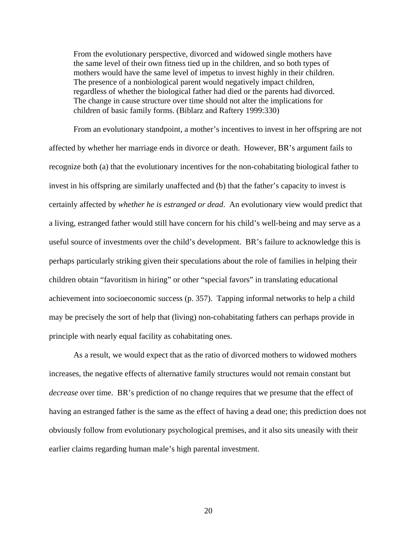From the evolutionary perspective, divorced and widowed single mothers have the same level of their own fitness tied up in the children, and so both types of mothers would have the same level of impetus to invest highly in their children. The presence of a nonbiological parent would negatively impact children, regardless of whether the biological father had died or the parents had divorced. The change in cause structure over time should not alter the implications for children of basic family forms. (Biblarz and Raftery 1999:330)

From an evolutionary standpoint, a mother's incentives to invest in her offspring are not affected by whether her marriage ends in divorce or death. However, BR's argument fails to recognize both (a) that the evolutionary incentives for the non-cohabitating biological father to invest in his offspring are similarly unaffected and (b) that the father's capacity to invest is certainly affected by *whether he is estranged or dead*. An evolutionary view would predict that a living, estranged father would still have concern for his child's well-being and may serve as a useful source of investments over the child's development. BR's failure to acknowledge this is perhaps particularly striking given their speculations about the role of families in helping their children obtain "favoritism in hiring" or other "special favors" in translating educational achievement into socioeconomic success (p. 357). Tapping informal networks to help a child may be precisely the sort of help that (living) non-cohabitating fathers can perhaps provide in principle with nearly equal facility as cohabitating ones.

As a result, we would expect that as the ratio of divorced mothers to widowed mothers increases, the negative effects of alternative family structures would not remain constant but *decrease* over time. BR's prediction of no change requires that we presume that the effect of having an estranged father is the same as the effect of having a dead one; this prediction does not obviously follow from evolutionary psychological premises, and it also sits uneasily with their earlier claims regarding human male's high parental investment.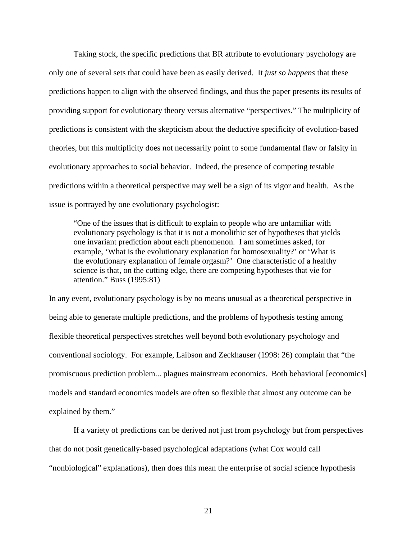Taking stock, the specific predictions that BR attribute to evolutionary psychology are only one of several sets that could have been as easily derived. It *just so happens* that these predictions happen to align with the observed findings, and thus the paper presents its results of providing support for evolutionary theory versus alternative "perspectives." The multiplicity of predictions is consistent with the skepticism about the deductive specificity of evolution-based theories, but this multiplicity does not necessarily point to some fundamental flaw or falsity in evolutionary approaches to social behavior. Indeed, the presence of competing testable predictions within a theoretical perspective may well be a sign of its vigor and health. As the issue is portrayed by one evolutionary psychologist:

"One of the issues that is difficult to explain to people who are unfamiliar with evolutionary psychology is that it is not a monolithic set of hypotheses that yields one invariant prediction about each phenomenon. I am sometimes asked, for example, 'What is the evolutionary explanation for homosexuality?' or 'What is the evolutionary explanation of female orgasm?' One characteristic of a healthy science is that, on the cutting edge, there are competing hypotheses that vie for attention." Buss (1995:81)

In any event, evolutionary psychology is by no means unusual as a theoretical perspective in being able to generate multiple predictions, and the problems of hypothesis testing among flexible theoretical perspectives stretches well beyond both evolutionary psychology and conventional sociology. For example, Laibson and Zeckhauser (1998: 26) complain that "the promiscuous prediction problem... plagues mainstream economics. Both behavioral [economics] models and standard economics models are often so flexible that almost any outcome can be explained by them."

 If a variety of predictions can be derived not just from psychology but from perspectives that do not posit genetically-based psychological adaptations (what Cox would call "nonbiological" explanations), then does this mean the enterprise of social science hypothesis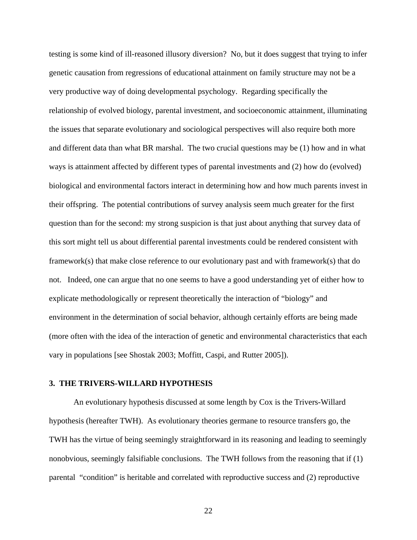testing is some kind of ill-reasoned illusory diversion? No, but it does suggest that trying to infer genetic causation from regressions of educational attainment on family structure may not be a very productive way of doing developmental psychology. Regarding specifically the relationship of evolved biology, parental investment, and socioeconomic attainment, illuminating the issues that separate evolutionary and sociological perspectives will also require both more and different data than what BR marshal. The two crucial questions may be (1) how and in what ways is attainment affected by different types of parental investments and (2) how do (evolved) biological and environmental factors interact in determining how and how much parents invest in their offspring. The potential contributions of survey analysis seem much greater for the first question than for the second: my strong suspicion is that just about anything that survey data of this sort might tell us about differential parental investments could be rendered consistent with framework(s) that make close reference to our evolutionary past and with framework(s) that do not. Indeed, one can argue that no one seems to have a good understanding yet of either how to explicate methodologically or represent theoretically the interaction of "biology" and environment in the determination of social behavior, although certainly efforts are being made (more often with the idea of the interaction of genetic and environmental characteristics that each vary in populations [see Shostak 2003; Moffitt, Caspi, and Rutter 2005]).

#### **3. THE TRIVERS-WILLARD HYPOTHESIS**

An evolutionary hypothesis discussed at some length by Cox is the Trivers-Willard hypothesis (hereafter TWH). As evolutionary theories germane to resource transfers go, the TWH has the virtue of being seemingly straightforward in its reasoning and leading to seemingly nonobvious, seemingly falsifiable conclusions. The TWH follows from the reasoning that if (1) parental "condition" is heritable and correlated with reproductive success and (2) reproductive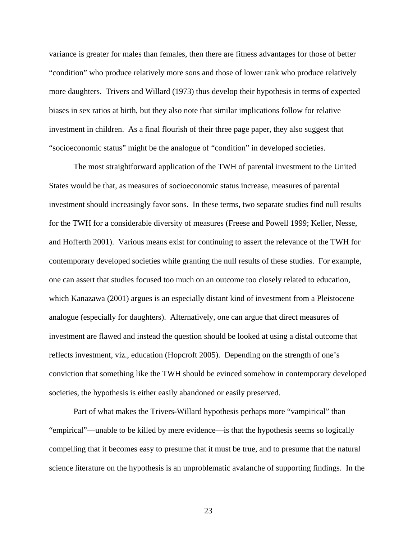variance is greater for males than females, then there are fitness advantages for those of better "condition" who produce relatively more sons and those of lower rank who produce relatively more daughters. Trivers and Willard (1973) thus develop their hypothesis in terms of expected biases in sex ratios at birth, but they also note that similar implications follow for relative investment in children. As a final flourish of their three page paper, they also suggest that "socioeconomic status" might be the analogue of "condition" in developed societies.

The most straightforward application of the TWH of parental investment to the United States would be that, as measures of socioeconomic status increase, measures of parental investment should increasingly favor sons. In these terms, two separate studies find null results for the TWH for a considerable diversity of measures (Freese and Powell 1999; Keller, Nesse, and Hofferth 2001). Various means exist for continuing to assert the relevance of the TWH for contemporary developed societies while granting the null results of these studies. For example, one can assert that studies focused too much on an outcome too closely related to education, which Kanazawa (2001) argues is an especially distant kind of investment from a Pleistocene analogue (especially for daughters). Alternatively, one can argue that direct measures of investment are flawed and instead the question should be looked at using a distal outcome that reflects investment, viz., education (Hopcroft 2005). Depending on the strength of one's conviction that something like the TWH should be evinced somehow in contemporary developed societies, the hypothesis is either easily abandoned or easily preserved.

Part of what makes the Trivers-Willard hypothesis perhaps more "vampirical" than "empirical"—unable to be killed by mere evidence—is that the hypothesis seems so logically compelling that it becomes easy to presume that it must be true, and to presume that the natural science literature on the hypothesis is an unproblematic avalanche of supporting findings. In the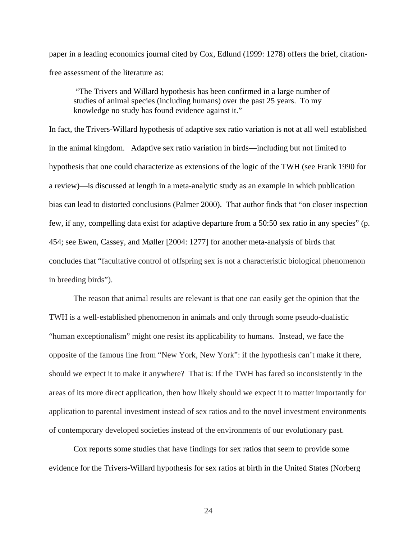paper in a leading economics journal cited by Cox, Edlund (1999: 1278) offers the brief, citationfree assessment of the literature as:

 "The Trivers and Willard hypothesis has been confirmed in a large number of studies of animal species (including humans) over the past 25 years. To my knowledge no study has found evidence against it."

In fact, the Trivers-Willard hypothesis of adaptive sex ratio variation is not at all well established in the animal kingdom. Adaptive sex ratio variation in birds—including but not limited to hypothesis that one could characterize as extensions of the logic of the TWH (see Frank 1990 for a review)—is discussed at length in a meta-analytic study as an example in which publication bias can lead to distorted conclusions (Palmer 2000). That author finds that "on closer inspection few, if any, compelling data exist for adaptive departure from a 50:50 sex ratio in any species" (p. 454; see Ewen, Cassey, and Møller [2004: 1277] for another meta-analysis of birds that concludes that "facultative control of offspring sex is not a characteristic biological phenomenon in breeding birds").

The reason that animal results are relevant is that one can easily get the opinion that the TWH is a well-established phenomenon in animals and only through some pseudo-dualistic "human exceptionalism" might one resist its applicability to humans. Instead, we face the opposite of the famous line from "New York, New York": if the hypothesis can't make it there, should we expect it to make it anywhere? That is: If the TWH has fared so inconsistently in the areas of its more direct application, then how likely should we expect it to matter importantly for application to parental investment instead of sex ratios and to the novel investment environments of contemporary developed societies instead of the environments of our evolutionary past.

Cox reports some studies that have findings for sex ratios that seem to provide some evidence for the Trivers-Willard hypothesis for sex ratios at birth in the United States (Norberg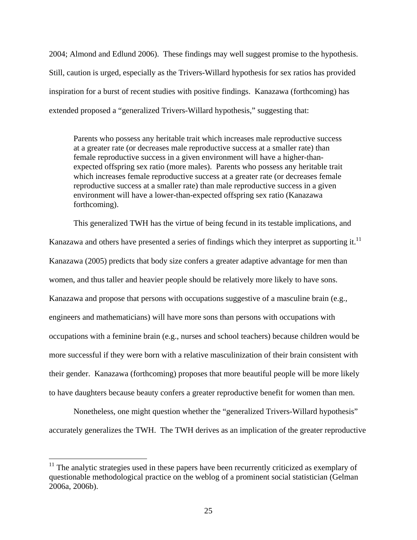2004; Almond and Edlund 2006). These findings may well suggest promise to the hypothesis. Still, caution is urged, especially as the Trivers-Willard hypothesis for sex ratios has provided inspiration for a burst of recent studies with positive findings. Kanazawa (forthcoming) has extended proposed a "generalized Trivers-Willard hypothesis," suggesting that:

Parents who possess any heritable trait which increases male reproductive success at a greater rate (or decreases male reproductive success at a smaller rate) than female reproductive success in a given environment will have a higher-thanexpected offspring sex ratio (more males). Parents who possess any heritable trait which increases female reproductive success at a greater rate (or decreases female reproductive success at a smaller rate) than male reproductive success in a given environment will have a lower-than-expected offspring sex ratio (Kanazawa forthcoming).

This generalized TWH has the virtue of being fecund in its testable implications, and Kanazawa and others have presented a series of findings which they interpret as supporting it.<sup>11</sup> Kanazawa (2005) predicts that body size confers a greater adaptive advantage for men than women, and thus taller and heavier people should be relatively more likely to have sons. Kanazawa and propose that persons with occupations suggestive of a masculine brain (e.g., engineers and mathematicians) will have more sons than persons with occupations with occupations with a feminine brain (e.g., nurses and school teachers) because children would be more successful if they were born with a relative masculinization of their brain consistent with their gender. Kanazawa (forthcoming) proposes that more beautiful people will be more likely to have daughters because beauty confers a greater reproductive benefit for women than men.

Nonetheless, one might question whether the "generalized Trivers-Willard hypothesis" accurately generalizes the TWH. The TWH derives as an implication of the greater reproductive

 $11$  The analytic strategies used in these papers have been recurrently criticized as exemplary of questionable methodological practice on the weblog of a prominent social statistician (Gelman 2006a, 2006b).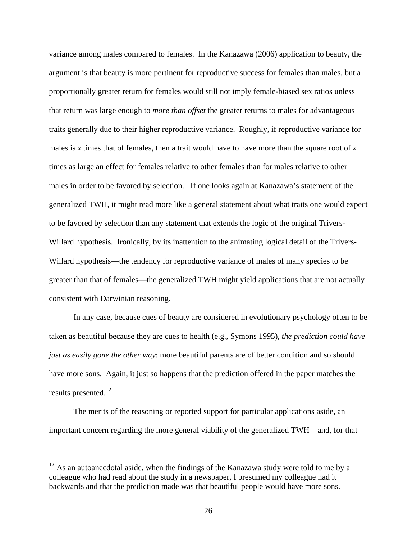variance among males compared to females. In the Kanazawa (2006) application to beauty, the argument is that beauty is more pertinent for reproductive success for females than males, but a proportionally greater return for females would still not imply female-biased sex ratios unless that return was large enough to *more than offset* the greater returns to males for advantageous traits generally due to their higher reproductive variance. Roughly, if reproductive variance for males is *x* times that of females, then a trait would have to have more than the square root of *x* times as large an effect for females relative to other females than for males relative to other males in order to be favored by selection. If one looks again at Kanazawa's statement of the generalized TWH, it might read more like a general statement about what traits one would expect to be favored by selection than any statement that extends the logic of the original Trivers-Willard hypothesis. Ironically, by its inattention to the animating logical detail of the Trivers-Willard hypothesis—the tendency for reproductive variance of males of many species to be greater than that of females—the generalized TWH might yield applications that are not actually consistent with Darwinian reasoning.

In any case, because cues of beauty are considered in evolutionary psychology often to be taken as beautiful because they are cues to health (e.g., Symons 1995), *the prediction could have just as easily gone the other way*: more beautiful parents are of better condition and so should have more sons. Again, it just so happens that the prediction offered in the paper matches the results presented.<sup>12</sup>

The merits of the reasoning or reported support for particular applications aside, an important concern regarding the more general viability of the generalized TWH—and, for that

 $\overline{a}$ 

 $12$  As an autoanecdotal aside, when the findings of the Kanazawa study were told to me by a colleague who had read about the study in a newspaper, I presumed my colleague had it backwards and that the prediction made was that beautiful people would have more sons.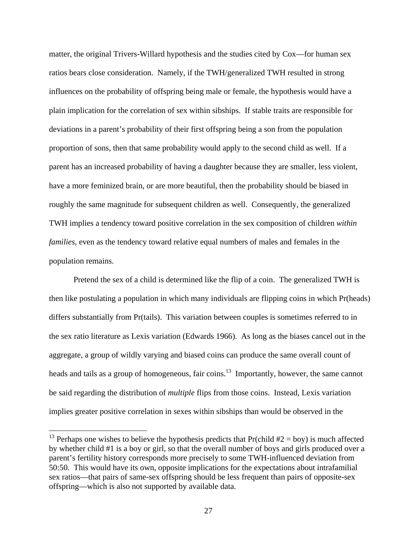matter, the original Trivers-Willard hypothesis and the studies cited by Cox—for human sex ratios bears close consideration. Namely, if the TWH/generalized TWH resulted in strong influences on the probability of offspring being male or female, the hypothesis would have a plain implication for the correlation of sex within sibships. If stable traits are responsible for deviations in a parent's probability of their first offspring being a son from the population proportion of sons, then that same probability would apply to the second child as well. If a parent has an increased probability of having a daughter because they are smaller, less violent, have a more feminized brain, or are more beautiful, then the probability should be biased in roughly the same magnitude for subsequent children as well. Consequently, the generalized TWH implies a tendency toward positive correlation in the sex composition of children *within families*, even as the tendency toward relative equal numbers of males and females in the population remains.

Pretend the sex of a child is determined like the flip of a coin. The generalized TWH is then like postulating a population in which many individuals are flipping coins in which Pr(heads) differs substantially from Pr(tails). This variation between couples is sometimes referred to in the sex ratio literature as Lexis variation (Edwards 1966). As long as the biases cancel out in the aggregate, a group of wildly varying and biased coins can produce the same overall count of heads and tails as a group of homogeneous, fair coins.<sup>13</sup> Importantly, however, the same cannot be said regarding the distribution of *multiple* flips from those coins. Instead, Lexis variation implies greater positive correlation in sexes within sibships than would be observed in the

 $\overline{a}$ 

<sup>&</sup>lt;sup>13</sup> Perhaps one wishes to believe the hypothesis predicts that Pr(child  $#2 = boy$ ) is much affected by whether child #1 is a boy or girl, so that the overall number of boys and girls produced over a parent's fertility history corresponds more precisely to some TWH-influenced deviation from 50:50. This would have its own, opposite implications for the expectations about intrafamilial sex ratios—that pairs of same-sex offspring should be less frequent than pairs of opposite-sex offspring—which is also not supported by available data.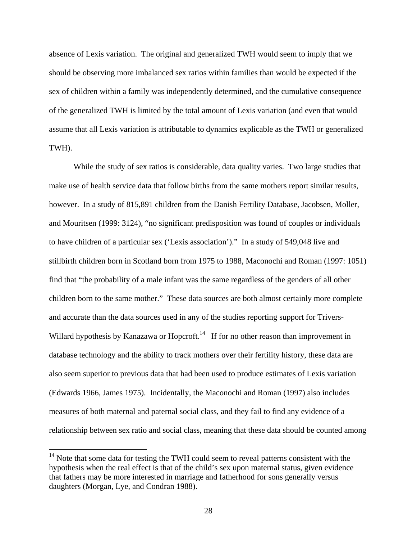absence of Lexis variation. The original and generalized TWH would seem to imply that we should be observing more imbalanced sex ratios within families than would be expected if the sex of children within a family was independently determined, and the cumulative consequence of the generalized TWH is limited by the total amount of Lexis variation (and even that would assume that all Lexis variation is attributable to dynamics explicable as the TWH or generalized TWH).

While the study of sex ratios is considerable, data quality varies. Two large studies that make use of health service data that follow births from the same mothers report similar results, however. In a study of 815,891 children from the Danish Fertility Database, Jacobsen, Moller, and Mouritsen (1999: 3124), "no significant predisposition was found of couples or individuals to have children of a particular sex ('Lexis association')." In a study of 549,048 live and stillbirth children born in Scotland born from 1975 to 1988, Maconochi and Roman (1997: 1051) find that "the probability of a male infant was the same regardless of the genders of all other children born to the same mother." These data sources are both almost certainly more complete and accurate than the data sources used in any of the studies reporting support for Trivers-Willard hypothesis by Kanazawa or Hopcroft.<sup>14</sup> If for no other reason than improvement in database technology and the ability to track mothers over their fertility history, these data are also seem superior to previous data that had been used to produce estimates of Lexis variation (Edwards 1966, James 1975). Incidentally, the Maconochi and Roman (1997) also includes measures of both maternal and paternal social class, and they fail to find any evidence of a relationship between sex ratio and social class, meaning that these data should be counted among

<sup>&</sup>lt;sup>14</sup> Note that some data for testing the TWH could seem to reveal patterns consistent with the hypothesis when the real effect is that of the child's sex upon maternal status, given evidence that fathers may be more interested in marriage and fatherhood for sons generally versus daughters (Morgan, Lye, and Condran 1988).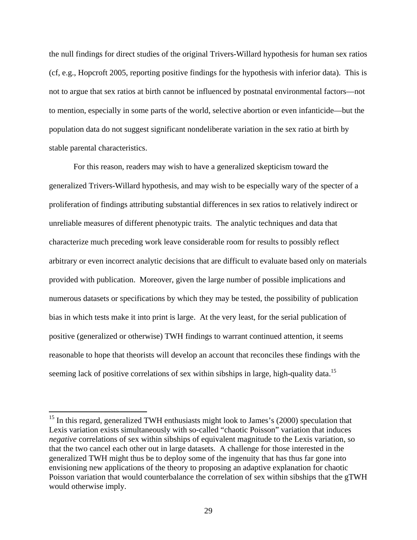the null findings for direct studies of the original Trivers-Willard hypothesis for human sex ratios (cf, e.g., Hopcroft 2005, reporting positive findings for the hypothesis with inferior data). This is not to argue that sex ratios at birth cannot be influenced by postnatal environmental factors—not to mention, especially in some parts of the world, selective abortion or even infanticide—but the population data do not suggest significant nondeliberate variation in the sex ratio at birth by stable parental characteristics.

For this reason, readers may wish to have a generalized skepticism toward the generalized Trivers-Willard hypothesis, and may wish to be especially wary of the specter of a proliferation of findings attributing substantial differences in sex ratios to relatively indirect or unreliable measures of different phenotypic traits. The analytic techniques and data that characterize much preceding work leave considerable room for results to possibly reflect arbitrary or even incorrect analytic decisions that are difficult to evaluate based only on materials provided with publication. Moreover, given the large number of possible implications and numerous datasets or specifications by which they may be tested, the possibility of publication bias in which tests make it into print is large. At the very least, for the serial publication of positive (generalized or otherwise) TWH findings to warrant continued attention, it seems reasonable to hope that theorists will develop an account that reconciles these findings with the seeming lack of positive correlations of sex within sibships in large, high-quality data.<sup>15</sup>

 $15$  In this regard, generalized TWH enthusiasts might look to James's (2000) speculation that Lexis variation exists simultaneously with so-called "chaotic Poisson" variation that induces *negative* correlations of sex within sibships of equivalent magnitude to the Lexis variation, so that the two cancel each other out in large datasets. A challenge for those interested in the generalized TWH might thus be to deploy some of the ingenuity that has thus far gone into envisioning new applications of the theory to proposing an adaptive explanation for chaotic Poisson variation that would counterbalance the correlation of sex within sibships that the gTWH would otherwise imply.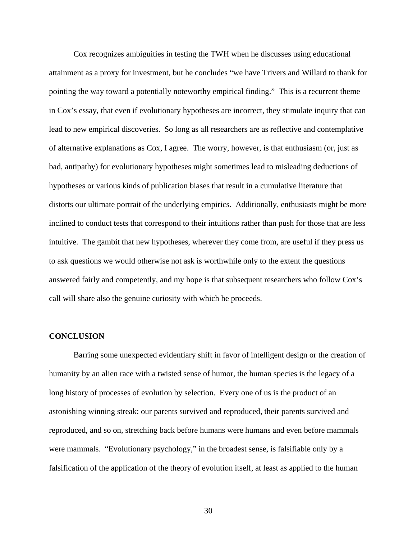Cox recognizes ambiguities in testing the TWH when he discusses using educational attainment as a proxy for investment, but he concludes "we have Trivers and Willard to thank for pointing the way toward a potentially noteworthy empirical finding." This is a recurrent theme in Cox's essay, that even if evolutionary hypotheses are incorrect, they stimulate inquiry that can lead to new empirical discoveries. So long as all researchers are as reflective and contemplative of alternative explanations as Cox, I agree. The worry, however, is that enthusiasm (or, just as bad, antipathy) for evolutionary hypotheses might sometimes lead to misleading deductions of hypotheses or various kinds of publication biases that result in a cumulative literature that distorts our ultimate portrait of the underlying empirics. Additionally, enthusiasts might be more inclined to conduct tests that correspond to their intuitions rather than push for those that are less intuitive. The gambit that new hypotheses, wherever they come from, are useful if they press us to ask questions we would otherwise not ask is worthwhile only to the extent the questions answered fairly and competently, and my hope is that subsequent researchers who follow Cox's call will share also the genuine curiosity with which he proceeds.

## **CONCLUSION**

Barring some unexpected evidentiary shift in favor of intelligent design or the creation of humanity by an alien race with a twisted sense of humor, the human species is the legacy of a long history of processes of evolution by selection. Every one of us is the product of an astonishing winning streak: our parents survived and reproduced, their parents survived and reproduced, and so on, stretching back before humans were humans and even before mammals were mammals. "Evolutionary psychology," in the broadest sense, is falsifiable only by a falsification of the application of the theory of evolution itself, at least as applied to the human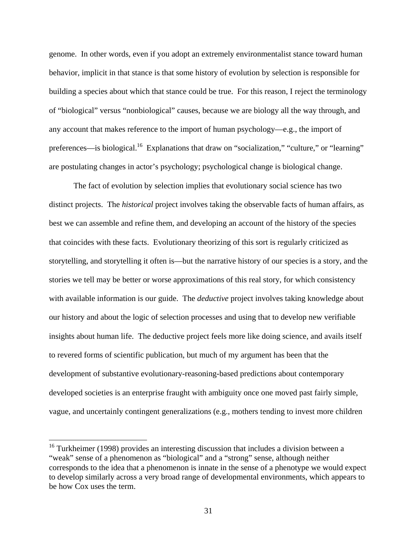genome. In other words, even if you adopt an extremely environmentalist stance toward human behavior, implicit in that stance is that some history of evolution by selection is responsible for building a species about which that stance could be true. For this reason, I reject the terminology of "biological" versus "nonbiological" causes, because we are biology all the way through, and any account that makes reference to the import of human psychology—e.g., the import of preferences—is biological.<sup>16</sup> Explanations that draw on "socialization," "culture," or "learning" are postulating changes in actor's psychology; psychological change is biological change.

The fact of evolution by selection implies that evolutionary social science has two distinct projects. The *historical* project involves taking the observable facts of human affairs, as best we can assemble and refine them, and developing an account of the history of the species that coincides with these facts. Evolutionary theorizing of this sort is regularly criticized as storytelling, and storytelling it often is—but the narrative history of our species is a story, and the stories we tell may be better or worse approximations of this real story, for which consistency with available information is our guide. The *deductive* project involves taking knowledge about our history and about the logic of selection processes and using that to develop new verifiable insights about human life. The deductive project feels more like doing science, and avails itself to revered forms of scientific publication, but much of my argument has been that the development of substantive evolutionary-reasoning-based predictions about contemporary developed societies is an enterprise fraught with ambiguity once one moved past fairly simple, vague, and uncertainly contingent generalizations (e.g., mothers tending to invest more children

 $\overline{a}$ 

<sup>&</sup>lt;sup>16</sup> Turkheimer (1998) provides an interesting discussion that includes a division between a "weak" sense of a phenomenon as "biological" and a "strong" sense, although neither corresponds to the idea that a phenomenon is innate in the sense of a phenotype we would expect to develop similarly across a very broad range of developmental environments, which appears to be how Cox uses the term.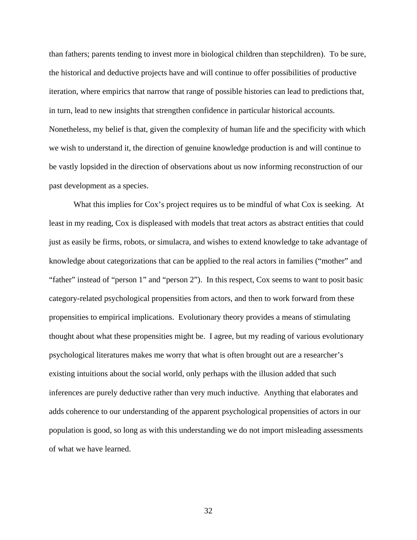than fathers; parents tending to invest more in biological children than stepchildren). To be sure, the historical and deductive projects have and will continue to offer possibilities of productive iteration, where empirics that narrow that range of possible histories can lead to predictions that, in turn, lead to new insights that strengthen confidence in particular historical accounts. Nonetheless, my belief is that, given the complexity of human life and the specificity with which we wish to understand it, the direction of genuine knowledge production is and will continue to be vastly lopsided in the direction of observations about us now informing reconstruction of our past development as a species.

What this implies for Cox's project requires us to be mindful of what Cox is seeking. At least in my reading, Cox is displeased with models that treat actors as abstract entities that could just as easily be firms, robots, or simulacra, and wishes to extend knowledge to take advantage of knowledge about categorizations that can be applied to the real actors in families ("mother" and "father" instead of "person 1" and "person 2"). In this respect, Cox seems to want to posit basic category-related psychological propensities from actors, and then to work forward from these propensities to empirical implications. Evolutionary theory provides a means of stimulating thought about what these propensities might be. I agree, but my reading of various evolutionary psychological literatures makes me worry that what is often brought out are a researcher's existing intuitions about the social world, only perhaps with the illusion added that such inferences are purely deductive rather than very much inductive. Anything that elaborates and adds coherence to our understanding of the apparent psychological propensities of actors in our population is good, so long as with this understanding we do not import misleading assessments of what we have learned.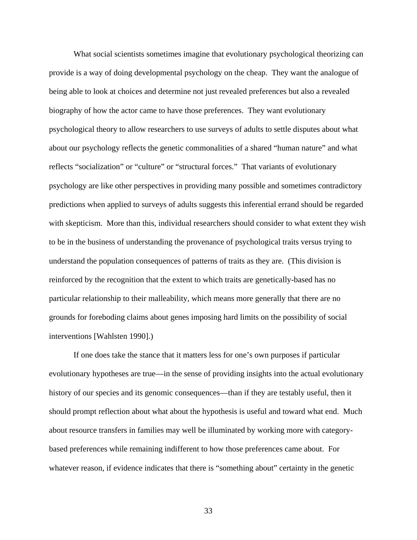What social scientists sometimes imagine that evolutionary psychological theorizing can provide is a way of doing developmental psychology on the cheap. They want the analogue of being able to look at choices and determine not just revealed preferences but also a revealed biography of how the actor came to have those preferences. They want evolutionary psychological theory to allow researchers to use surveys of adults to settle disputes about what about our psychology reflects the genetic commonalities of a shared "human nature" and what reflects "socialization" or "culture" or "structural forces." That variants of evolutionary psychology are like other perspectives in providing many possible and sometimes contradictory predictions when applied to surveys of adults suggests this inferential errand should be regarded with skepticism. More than this, individual researchers should consider to what extent they wish to be in the business of understanding the provenance of psychological traits versus trying to understand the population consequences of patterns of traits as they are. (This division is reinforced by the recognition that the extent to which traits are genetically-based has no particular relationship to their malleability, which means more generally that there are no grounds for foreboding claims about genes imposing hard limits on the possibility of social interventions [Wahlsten 1990].)

If one does take the stance that it matters less for one's own purposes if particular evolutionary hypotheses are true—in the sense of providing insights into the actual evolutionary history of our species and its genomic consequences—than if they are testably useful, then it should prompt reflection about what about the hypothesis is useful and toward what end. Much about resource transfers in families may well be illuminated by working more with categorybased preferences while remaining indifferent to how those preferences came about. For whatever reason, if evidence indicates that there is "something about" certainty in the genetic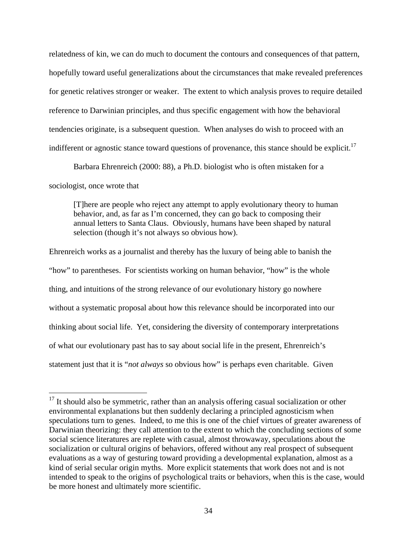relatedness of kin, we can do much to document the contours and consequences of that pattern, hopefully toward useful generalizations about the circumstances that make revealed preferences for genetic relatives stronger or weaker. The extent to which analysis proves to require detailed reference to Darwinian principles, and thus specific engagement with how the behavioral tendencies originate, is a subsequent question. When analyses do wish to proceed with an indifferent or agnostic stance toward questions of provenance, this stance should be explicit.<sup>17</sup>

Barbara Ehrenreich (2000: 88), a Ph.D. biologist who is often mistaken for a

sociologist, once wrote that

 $\overline{a}$ 

[T]here are people who reject any attempt to apply evolutionary theory to human behavior, and, as far as I'm concerned, they can go back to composing their annual letters to Santa Claus. Obviously, humans have been shaped by natural selection (though it's not always so obvious how).

Ehrenreich works as a journalist and thereby has the luxury of being able to banish the "how" to parentheses. For scientists working on human behavior, "how" is the whole thing, and intuitions of the strong relevance of our evolutionary history go nowhere without a systematic proposal about how this relevance should be incorporated into our thinking about social life. Yet, considering the diversity of contemporary interpretations of what our evolutionary past has to say about social life in the present, Ehrenreich's statement just that it is "*not always* so obvious how" is perhaps even charitable. Given

 $17$  It should also be symmetric, rather than an analysis offering casual socialization or other environmental explanations but then suddenly declaring a principled agnosticism when speculations turn to genes. Indeed, to me this is one of the chief virtues of greater awareness of Darwinian theorizing: they call attention to the extent to which the concluding sections of some social science literatures are replete with casual, almost throwaway, speculations about the socialization or cultural origins of behaviors, offered without any real prospect of subsequent evaluations as a way of gesturing toward providing a developmental explanation, almost as a kind of serial secular origin myths. More explicit statements that work does not and is not intended to speak to the origins of psychological traits or behaviors, when this is the case, would be more honest and ultimately more scientific.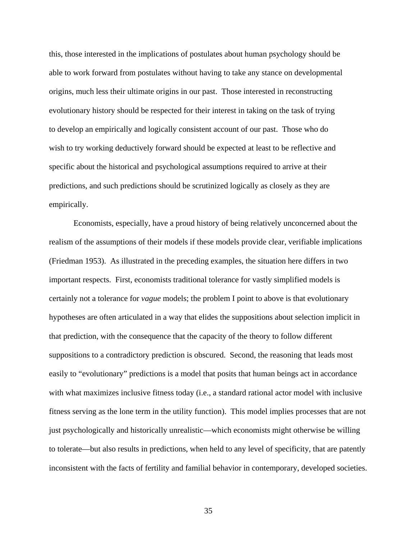this, those interested in the implications of postulates about human psychology should be able to work forward from postulates without having to take any stance on developmental origins, much less their ultimate origins in our past. Those interested in reconstructing evolutionary history should be respected for their interest in taking on the task of trying to develop an empirically and logically consistent account of our past. Those who do wish to try working deductively forward should be expected at least to be reflective and specific about the historical and psychological assumptions required to arrive at their predictions, and such predictions should be scrutinized logically as closely as they are empirically.

Economists, especially, have a proud history of being relatively unconcerned about the realism of the assumptions of their models if these models provide clear, verifiable implications (Friedman 1953). As illustrated in the preceding examples, the situation here differs in two important respects. First, economists traditional tolerance for vastly simplified models is certainly not a tolerance for *vague* models; the problem I point to above is that evolutionary hypotheses are often articulated in a way that elides the suppositions about selection implicit in that prediction, with the consequence that the capacity of the theory to follow different suppositions to a contradictory prediction is obscured. Second, the reasoning that leads most easily to "evolutionary" predictions is a model that posits that human beings act in accordance with what maximizes inclusive fitness today (i.e., a standard rational actor model with inclusive fitness serving as the lone term in the utility function). This model implies processes that are not just psychologically and historically unrealistic—which economists might otherwise be willing to tolerate—but also results in predictions, when held to any level of specificity, that are patently inconsistent with the facts of fertility and familial behavior in contemporary, developed societies.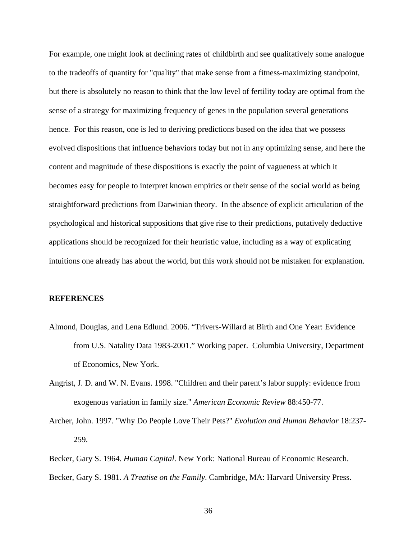For example, one might look at declining rates of childbirth and see qualitatively some analogue to the tradeoffs of quantity for "quality" that make sense from a fitness-maximizing standpoint, but there is absolutely no reason to think that the low level of fertility today are optimal from the sense of a strategy for maximizing frequency of genes in the population several generations hence. For this reason, one is led to deriving predictions based on the idea that we possess evolved dispositions that influence behaviors today but not in any optimizing sense, and here the content and magnitude of these dispositions is exactly the point of vagueness at which it becomes easy for people to interpret known empirics or their sense of the social world as being straightforward predictions from Darwinian theory. In the absence of explicit articulation of the psychological and historical suppositions that give rise to their predictions, putatively deductive applications should be recognized for their heuristic value, including as a way of explicating intuitions one already has about the world, but this work should not be mistaken for explanation.

### **REFERENCES**

- Almond, Douglas, and Lena Edlund. 2006. "Trivers-Willard at Birth and One Year: Evidence from U.S. Natality Data 1983-2001." Working paper. Columbia University, Department of Economics, New York.
- Angrist, J. D. and W. N. Evans. 1998. "Children and their parent's labor supply: evidence from exogenous variation in family size." *American Economic Review* 88:450-77.
- Archer, John. 1997. "Why Do People Love Their Pets?" *Evolution and Human Behavior* 18:237- 259.
- Becker, Gary S. 1964. *Human Capital*. New York: National Bureau of Economic Research. Becker, Gary S. 1981. *A Treatise on the Family*. Cambridge, MA: Harvard University Press.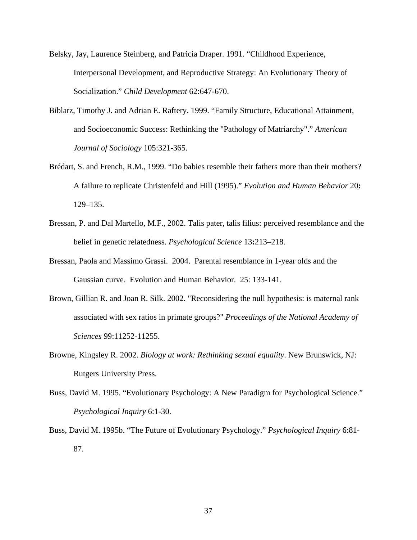- Belsky, Jay, Laurence Steinberg, and Patricia Draper. 1991. "Childhood Experience, Interpersonal Development, and Reproductive Strategy: An Evolutionary Theory of Socialization." *Child Development* 62:647-670.
- Biblarz, Timothy J. and Adrian E. Raftery. 1999. "Family Structure, Educational Attainment, and Socioeconomic Success: Rethinking the "Pathology of Matriarchy"." *American Journal of Sociology* 105:321-365.
- Brédart, S. and French, R.M., 1999. "Do babies resemble their fathers more than their mothers? A failure to replicate Christenfeld and Hill (1995)." *Evolution and Human Behavior* 20**:**  129–135.
- Bressan, P. and Dal Martello, M.F., 2002. Talis pater, talis filius: perceived resemblance and the belief in genetic relatedness. *Psychological Science* 13**:**213–218.
- Bressan, Paola and Massimo Grassi. 2004. Parental resemblance in 1-year olds and the Gaussian curve. Evolution and Human Behavior. 25: 133-141.
- Brown, Gillian R. and Joan R. Silk. 2002. "Reconsidering the null hypothesis: is maternal rank associated with sex ratios in primate groups?" *Proceedings of the National Academy of Sciences* 99:11252-11255.
- Browne, Kingsley R. 2002. *Biology at work: Rethinking sexual equality*. New Brunswick, NJ: Rutgers University Press.
- Buss, David M. 1995. "Evolutionary Psychology: A New Paradigm for Psychological Science." *Psychological Inquiry* 6:1-30.
- Buss, David M. 1995b. "The Future of Evolutionary Psychology." *Psychological Inquiry* 6:81- 87.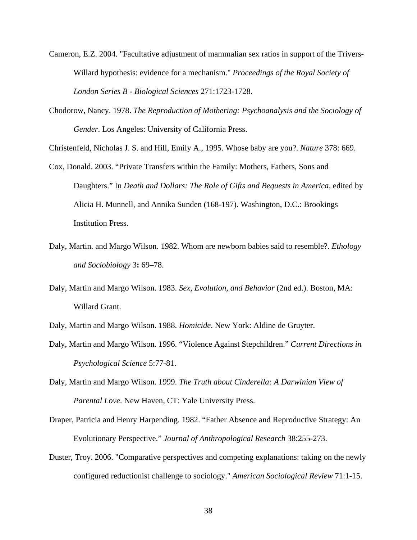- Cameron, E.Z. 2004. "Facultative adjustment of mammalian sex ratios in support of the Trivers-Willard hypothesis: evidence for a mechanism." *Proceedings of the Royal Society of London Series B - Biological Sciences* 271:1723-1728.
- Chodorow, Nancy. 1978. *The Reproduction of Mothering: Psychoanalysis and the Sociology of Gender*. Los Angeles: University of California Press.
- Christenfeld, Nicholas J. S. and Hill, Emily A., 1995. Whose baby are you?. *Nature* 378: 669.
- Cox, Donald. 2003. "Private Transfers within the Family: Mothers, Fathers, Sons and Daughters." In *Death and Dollars: The Role of Gifts and Bequests in America,* edited by Alicia H. Munnell, and Annika Sunden (168-197). Washington, D.C.: Brookings Institution Press.
- Daly, Martin. and Margo Wilson. 1982. Whom are newborn babies said to resemble?. *Ethology and Sociobiology* 3**:** 69–78.
- Daly, Martin and Margo Wilson. 1983. *Sex, Evolution, and Behavior* (2nd ed.). Boston, MA: Willard Grant.

Daly, Martin and Margo Wilson. 1988. *Homicide*. New York: Aldine de Gruyter.

- Daly, Martin and Margo Wilson. 1996. "Violence Against Stepchildren." *Current Directions in Psychological Science* 5:77-81.
- Daly, Martin and Margo Wilson. 1999. *The Truth about Cinderella: A Darwinian View of Parental Love*. New Haven, CT: Yale University Press.
- Draper, Patricia and Henry Harpending. 1982. "Father Absence and Reproductive Strategy: An Evolutionary Perspective." *Journal of Anthropological Research* 38:255-273.
- Duster, Troy. 2006. "Comparative perspectives and competing explanations: taking on the newly configured reductionist challenge to sociology." *American Sociological Review* 71:1-15.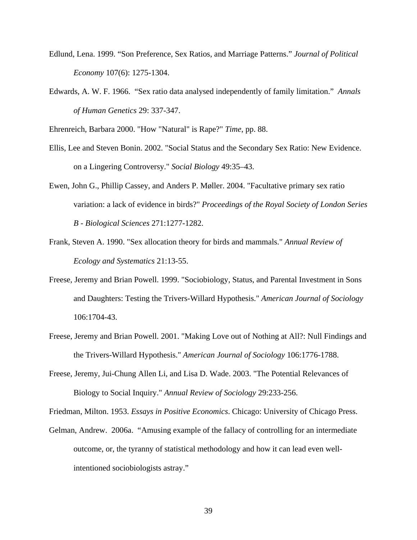- Edlund, Lena. 1999. "Son Preference, Sex Ratios, and Marriage Patterns." *Journal of Political Economy* 107(6): 1275-1304.
- Edwards, A. W. F. 1966. "Sex ratio data analysed independently of family limitation." *Annals of Human Genetics* 29: 337-347.

Ehrenreich, Barbara 2000. "How "Natural" is Rape?" *Time*, pp. 88.

- Ellis, Lee and Steven Bonin. 2002. "Social Status and the Secondary Sex Ratio: New Evidence. on a Lingering Controversy." *Social Biology* 49:35–43.
- Ewen, John G., Phillip Cassey, and Anders P. Møller. 2004. "Facultative primary sex ratio variation: a lack of evidence in birds?" *Proceedings of the Royal Society of London Series B - Biological Sciences* 271:1277-1282.
- Frank, Steven A. 1990. "Sex allocation theory for birds and mammals." *Annual Review of Ecology and Systematics* 21:13-55.
- Freese, Jeremy and Brian Powell. 1999. "Sociobiology, Status, and Parental Investment in Sons and Daughters: Testing the Trivers-Willard Hypothesis." *American Journal of Sociology* 106:1704-43.
- Freese, Jeremy and Brian Powell. 2001. "Making Love out of Nothing at All?: Null Findings and the Trivers-Willard Hypothesis." *American Journal of Sociology* 106:1776-1788.
- Freese, Jeremy, Jui-Chung Allen Li, and Lisa D. Wade. 2003. "The Potential Relevances of Biology to Social Inquiry." *Annual Review of Sociology* 29:233-256.

Friedman, Milton. 1953. *Essays in Positive Economics*. Chicago: University of Chicago Press.

Gelman, Andrew. 2006a. "Amusing example of the fallacy of controlling for an intermediate outcome, or, the tyranny of statistical methodology and how it can lead even wellintentioned sociobiologists astray."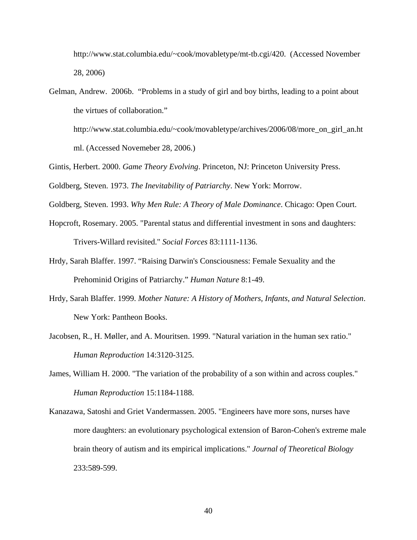http://www.stat.columbia.edu/~cook/movabletype/mt-tb.cgi/420. (Accessed November 28, 2006)

Gelman, Andrew. 2006b. "Problems in a study of girl and boy births, leading to a point about the virtues of collaboration."

http://www.stat.columbia.edu/~cook/movabletype/archives/2006/08/more\_on\_girl\_an.ht ml. (Accessed Novemeber 28, 2006.)

Gintis, Herbert. 2000. *Game Theory Evolving*. Princeton, NJ: Princeton University Press.

Goldberg, Steven. 1973. *The Inevitability of Patriarchy*. New York: Morrow.

- Goldberg, Steven. 1993. *Why Men Rule: A Theory of Male Dominance*. Chicago: Open Court.
- Hopcroft, Rosemary. 2005. "Parental status and differential investment in sons and daughters: Trivers-Willard revisited." *Social Forces* 83:1111-1136.
- Hrdy, Sarah Blaffer. 1997. "Raising Darwin's Consciousness: Female Sexuality and the Prehominid Origins of Patriarchy." *Human Nature* 8:1-49.
- Hrdy, Sarah Blaffer. 1999. *Mother Nature: A History of Mothers, Infants, and Natural Selection*. New York: Pantheon Books.
- Jacobsen, R., H. Møller, and A. Mouritsen. 1999. "Natural variation in the human sex ratio." *Human Reproduction* 14:3120-3125.
- James, William H. 2000. "The variation of the probability of a son within and across couples." *Human Reproduction* 15:1184-1188.
- Kanazawa, Satoshi and Griet Vandermassen. 2005. "Engineers have more sons, nurses have more daughters: an evolutionary psychological extension of Baron-Cohen's extreme male brain theory of autism and its empirical implications." *Journal of Theoretical Biology* 233:589-599.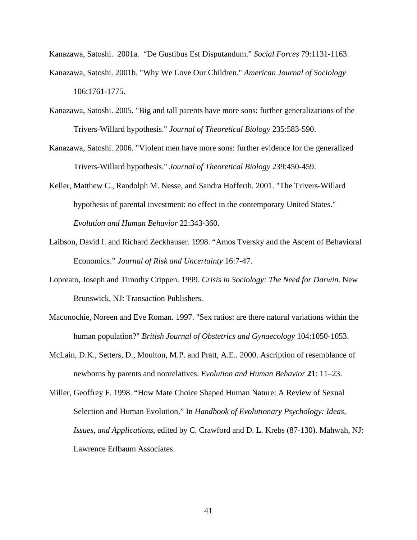Kanazawa, Satoshi. 2001a. "De Gustibus Est Disputandum." *Social Forces* 79:1131-1163.

- Kanazawa, Satoshi. 2001b. "Why We Love Our Children." *American Journal of Sociology* 106:1761-1775.
- Kanazawa, Satoshi. 2005. "Big and tall parents have more sons: further generalizations of the Trivers-Willard hypothesis." *Journal of Theoretical Biology* 235:583-590.
- Kanazawa, Satoshi. 2006. "Violent men have more sons: further evidence for the generalized Trivers-Willard hypothesis." *Journal of Theoretical Biology* 239:450-459.
- Keller, Matthew C., Randolph M. Nesse, and Sandra Hofferth. 2001. "The Trivers-Willard hypothesis of parental investment: no effect in the contemporary United States." *Evolution and Human Behavior* 22:343-360.
- Laibson, David I. and Richard Zeckhauser. 1998. "Amos Tversky and the Ascent of Behavioral Economics." *Journal of Risk and Uncertainty* 16:7-47.
- Lopreato, Joseph and Timothy Crippen. 1999. *Crisis in Sociology: The Need for Darwin*. New Brunswick, NJ: Transaction Publishers.
- Maconochie, Noreen and Eve Roman. 1997. "Sex ratios: are there natural variations within the human population?" *British Journal of Obstetrics and Gynaecology* 104:1050-1053.
- McLain, D.K., Setters, D., Moulton, M.P. and Pratt, A.E.. 2000. Ascription of resemblance of newborns by parents and nonrelatives. *Evolution and Human Behavior* **21**: 11–23.
- Miller, Geoffrey F. 1998. "How Mate Choice Shaped Human Nature: A Review of Sexual Selection and Human Evolution." In *Handbook of Evolutionary Psychology: Ideas, Issues, and Applications*, edited by C. Crawford and D. L. Krebs (87-130). Mahwah, NJ: Lawrence Erlbaum Associates.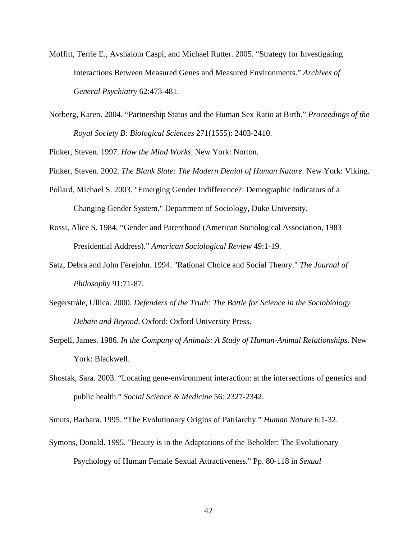- Moffitt, Terrie E., Avshalom Caspi, and Michael Rutter. 2005. "Strategy for Investigating Interactions Between Measured Genes and Measured Environments." *Archives of General Psychiatry* 62:473-481.
- Norberg, Karen. 2004. "Partnership Status and the Human Sex Ratio at Birth." *Proceedings of the Royal Society B: Biological Sciences* 271(1555): 2403-2410.

Pinker, Steven. 1997. *How the Mind Works*. New York: Norton.

- Pinker, Steven. 2002. *The Blank Slate: The Modern Denial of Human Nature*. New York: Viking.
- Pollard, Michael S. 2003. "Emerging Gender Indifference?: Demographic Indicators of a Changing Gender System." Department of Sociology, Duke University.
- Rossi, Alice S. 1984. "Gender and Parenthood (American Sociological Association, 1983 Presidential Address)." *American Sociological Review* 49:1-19.
- Satz, Debra and John Ferejohn. 1994. "Rational Choice and Social Theory." *The Journal of Philosophy* 91:71-87.
- Segerstråle, Ullica. 2000. *Defenders of the Truth: The Battle for Science in the Sociobiology Debate and Beyond*. Oxford: Oxford University Press.
- Serpell, James. 1986. *In the Company of Animals: A Study of Human-Animal Relationships*. New York: Blackwell.
- Shostak, Sara. 2003. "Locating gene-environment interaction: at the intersections of genetics and public health." *Social Science & Medicine* 56: 2327-2342.

Smuts, Barbara. 1995. "The Evolutionary Origins of Patriarchy." *Human Nature* 6:1-32.

Symons, Donald. 1995. "Beauty is in the Adaptations of the Beholder: The Evolutionary Psychology of Human Female Sexual Attractiveness." Pp. 80-118 in *Sexual*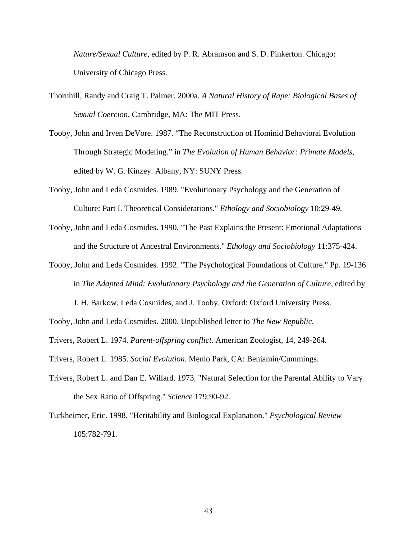*Nature/Sexual Culture*, edited by P. R. Abramson and S. D. Pinkerton. Chicago: University of Chicago Press.

- Thornhill, Randy and Craig T. Palmer. 2000a. *A Natural History of Rape: Biological Bases of Sexual Coercion*. Cambridge, MA: The MIT Press.
- Tooby, John and Irven DeVore. 1987. "The Reconstruction of Hominid Behavioral Evolution Through Strategic Modeling." in *The Evolution of Human Behavior: Primate Models*, edited by W. G. Kinzey. Albany, NY: SUNY Press.
- Tooby, John and Leda Cosmides. 1989. "Evolutionary Psychology and the Generation of Culture: Part I. Theoretical Considerations." *Ethology and Sociobiology* 10:29-49.
- Tooby, John and Leda Cosmides. 1990. "The Past Explains the Present: Emotional Adaptations and the Structure of Ancestral Environments." *Ethology and Sociobiology* 11:375-424.
- Tooby, John and Leda Cosmides. 1992. "The Psychological Foundations of Culture." Pp. 19-136 in *The Adapted Mind: Evolutionary Psychology and the Generation of Culture*, edited by

J. H. Barkow, Leda Cosmides, and J. Tooby. Oxford: Oxford University Press.

Tooby, John and Leda Cosmides. 2000. Unpublished letter to *The New Republic*.

Trivers, Robert L. 1974. *Parent-offspring conflict.* American Zoologist, 14, 249-264.

Trivers, Robert L. 1985. *Social Evolution*. Menlo Park, CA: Benjamin/Cummings.

Trivers, Robert L. and Dan E. Willard. 1973. "Natural Selection for the Parental Ability to Vary the Sex Ratio of Offspring." *Science* 179:90-92.

Turkheimer, Eric. 1998. "Heritability and Biological Explanation." *Psychological Review* 105:782-791.